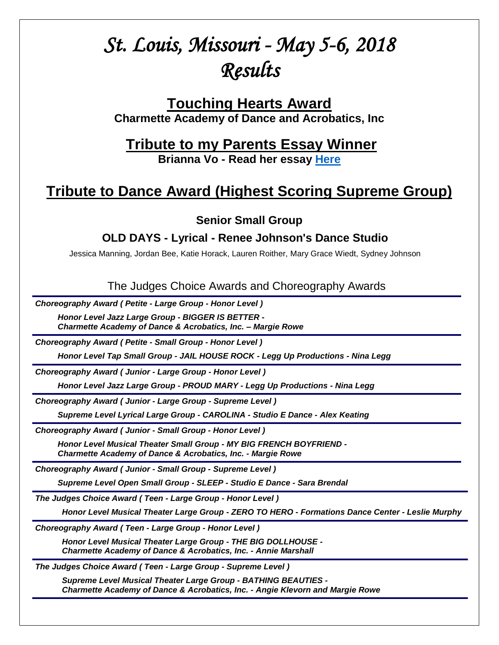# *St. Louis, Missouri - May 5-6, 2018 Results*

# **Touching Hearts Award Charmette Academy of Dance and Acrobatics, Inc**

# **Tribute to my Parents Essay Winner**

**Brianna Vo - Read her essay [Here](http://tributetodance.com/wp-content/uploads/2018/05/stlessay18.pdf)**

# **Tribute to Dance Award (Highest Scoring Supreme Group)**

**Senior Small Group**

# **OLD DAYS - Lyrical - Renee Johnson's Dance Studio**

Jessica Manning, Jordan Bee, Katie Horack, Lauren Roither, Mary Grace Wiedt, Sydney Johnson

The Judges Choice Awards and Choreography Awards

*Choreography Award ( Petite - Large Group - Honor Level )*

*Honor Level Jazz Large Group - BIGGER IS BETTER - Charmette Academy of Dance & Acrobatics, Inc. – Margie Rowe*

*Choreography Award ( Petite - Small Group - Honor Level )*

*Honor Level Tap Small Group - JAIL HOUSE ROCK - Legg Up Productions - Nina Legg*

*Choreography Award ( Junior - Large Group - Honor Level )*

*Honor Level Jazz Large Group - PROUD MARY - Legg Up Productions - Nina Legg*

*Choreography Award ( Junior - Large Group - Supreme Level )*

*Supreme Level Lyrical Large Group - CAROLINA - Studio E Dance - Alex Keating*

*Choreography Award ( Junior - Small Group - Honor Level )*

*Honor Level Musical Theater Small Group - MY BIG FRENCH BOYFRIEND - Charmette Academy of Dance & Acrobatics, Inc. - Margie Rowe*

*Choreography Award ( Junior - Small Group - Supreme Level )*

*Supreme Level Open Small Group - SLEEP - Studio E Dance - Sara Brendal*

*The Judges Choice Award ( Teen - Large Group - Honor Level )*

*Honor Level Musical Theater Large Group - ZERO TO HERO - Formations Dance Center - Leslie Murphy* **D**

*Choreography Award ( Teen - Large Group - Honor Level )*

*Honor Level Musical Theater Large Group - THE BIG DOLLHOUSE - Charmette Academy of Dance & Acrobatics, Inc. - Annie Marshall* **<sup>A</sup>**

*The Judges Choice Award ( Teen - Large Group - Supreme Level )*

*Supreme Level Musical Theater Large Group - BATHING BEAUTIES - Charmette Academy of Dance & Acrobatics, Inc. - Angie Klevorn and Margie Rowe* **<sup>A</sup>**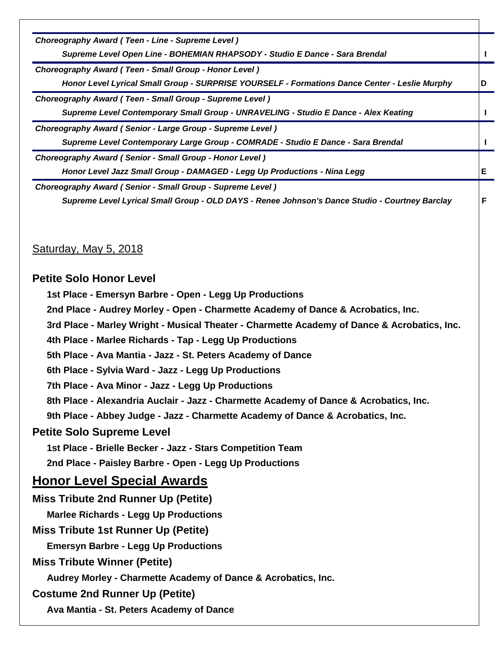*Choreography Award ( Teen - Line - Supreme Level ) Supreme Level Open Line - BOHEMIAN RHAPSODY - Studio E Dance - Sara Brendal* **I** *Choreography Award ( Teen - Small Group - Honor Level ) Honor Level Lyrical Small Group - SURPRISE YOURSELF - Formations Dance Center - Leslie Murphy* **D** *Choreography Award ( Teen - Small Group - Supreme Level ) Supreme Level Contemporary Small Group - UNRAVELING - Studio E Dance - Alex Keating* **I** *Choreography Award ( Senior - Large Group - Supreme Level ) Supreme Level Contemporary Large Group - COMRADE - Studio E Dance - Sara Brendal* **I** *Choreography Award ( Senior - Small Group - Honor Level ) Honor Level Jazz Small Group - DAMAGED - Legg Up Productions - Nina Legg* **E** *Choreography Award ( Senior - Small Group - Supreme Level ) Supreme Level Lyrical Small Group - OLD DAYS - Renee Johnson's Dance Studio - Courtney Barclay* **F** Saturday, May 5, 2018 **Petite Solo Honor Level 1st Place - Emersyn Barbre - Open - Legg Up Productions 2nd Place - Audrey Morley - Open - Charmette Academy of Dance & Acrobatics, Inc. 3rd Place - Marley Wright - Musical Theater - Charmette Academy of Dance & Acrobatics, Inc. 4th Place - Marlee Richards - Tap - Legg Up Productions 5th Place - Ava Mantia - Jazz - St. Peters Academy of Dance 6th Place - Sylvia Ward - Jazz - Legg Up Productions 7th Place - Ava Minor - Jazz - Legg Up Productions 8th Place - Alexandria Auclair - Jazz - Charmette Academy of Dance & Acrobatics, Inc. 9th Place - Abbey Judge - Jazz - Charmette Academy of Dance & Acrobatics, Inc. Petite Solo Supreme Level 1st Place - Brielle Becker - Jazz - Stars Competition Team 2nd Place - Paisley Barbre - Open - Legg Up Productions Honor Level Special Awards Miss Tribute 2nd Runner Up (Petite) Marlee Richards - Legg Up Productions Miss Tribute 1st Runner Up (Petite) Emersyn Barbre - Legg Up Productions Miss Tribute Winner (Petite) Audrey Morley - Charmette Academy of Dance & Acrobatics, Inc. Costume 2nd Runner Up (Petite) Ava Mantia - St. Peters Academy of Dance**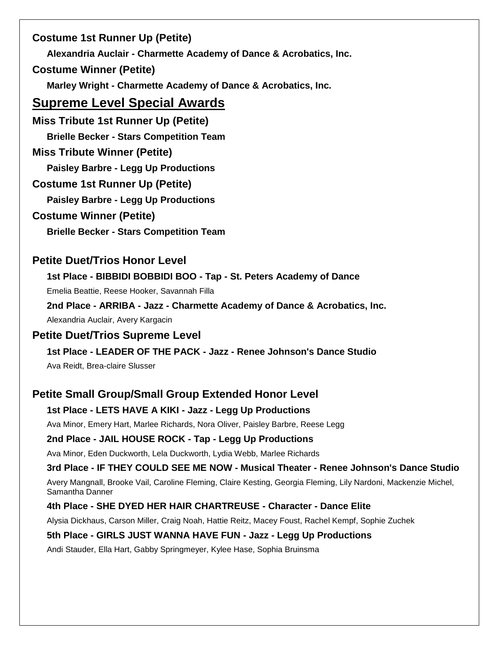# **Costume 1st Runner Up (Petite)**

**Alexandria Auclair - Charmette Academy of Dance & Acrobatics, Inc.**

# **Costume Winner (Petite)**

**Marley Wright - Charmette Academy of Dance & Acrobatics, Inc.**

# **Supreme Level Special Awards**

**Miss Tribute 1st Runner Up (Petite) Brielle Becker - Stars Competition Team**

# **Miss Tribute Winner (Petite)**

**Paisley Barbre - Legg Up Productions**

# **Costume 1st Runner Up (Petite)**

**Paisley Barbre - Legg Up Productions**

# **Costume Winner (Petite)**

**Brielle Becker - Stars Competition Team**

# **Petite Duet/Trios Honor Level**

**1st Place - BIBBIDI BOBBIDI BOO - Tap - St. Peters Academy of Dance**

Emelia Beattie, Reese Hooker, Savannah Filla

**2nd Place - ARRIBA - Jazz - Charmette Academy of Dance & Acrobatics, Inc.**

Alexandria Auclair, Avery Kargacin

# **Petite Duet/Trios Supreme Level**

**1st Place - LEADER OF THE PACK - Jazz - Renee Johnson's Dance Studio**

Ava Reidt, Brea-claire Slusser

# **Petite Small Group/Small Group Extended Honor Level**

# **1st Place - LETS HAVE A KIKI - Jazz - Legg Up Productions**

Ava Minor, Emery Hart, Marlee Richards, Nora Oliver, Paisley Barbre, Reese Legg

# **2nd Place - JAIL HOUSE ROCK - Tap - Legg Up Productions**

Ava Minor, Eden Duckworth, Lela Duckworth, Lydia Webb, Marlee Richards

**3rd Place - IF THEY COULD SEE ME NOW - Musical Theater - Renee Johnson's Dance Studio**

Avery Mangnall, Brooke Vail, Caroline Fleming, Claire Kesting, Georgia Fleming, Lily Nardoni, Mackenzie Michel, Samantha Danner

# **4th Place - SHE DYED HER HAIR CHARTREUSE - Character - Dance Elite**

Alysia Dickhaus, Carson Miller, Craig Noah, Hattie Reitz, Macey Foust, Rachel Kempf, Sophie Zuchek

# **5th Place - GIRLS JUST WANNA HAVE FUN - Jazz - Legg Up Productions**

Andi Stauder, Ella Hart, Gabby Springmeyer, Kylee Hase, Sophia Bruinsma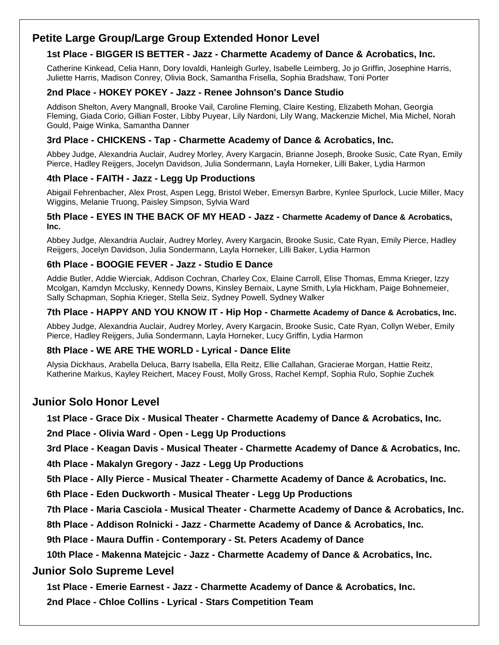# **Petite Large Group/Large Group Extended Honor Level**

### **1st Place - BIGGER IS BETTER - Jazz - Charmette Academy of Dance & Acrobatics, Inc.**

Catherine Kinkead, Celia Hann, Dory Iovaldi, Hanleigh Gurley, Isabelle Leimberg, Jo jo Griffin, Josephine Harris, Juliette Harris, Madison Conrey, Olivia Bock, Samantha Frisella, Sophia Bradshaw, Toni Porter

#### **2nd Place - HOKEY POKEY - Jazz - Renee Johnson's Dance Studio**

Addison Shelton, Avery Mangnall, Brooke Vail, Caroline Fleming, Claire Kesting, Elizabeth Mohan, Georgia Fleming, Giada Corio, Gillian Foster, Libby Puyear, Lily Nardoni, Lily Wang, Mackenzie Michel, Mia Michel, Norah Gould, Paige Winka, Samantha Danner

#### **3rd Place - CHICKENS - Tap - Charmette Academy of Dance & Acrobatics, Inc.**

Abbey Judge, Alexandria Auclair, Audrey Morley, Avery Kargacin, Brianne Joseph, Brooke Susic, Cate Ryan, Emily Pierce, Hadley Reijgers, Jocelyn Davidson, Julia Sondermann, Layla Horneker, Lilli Baker, Lydia Harmon

#### **4th Place - FAITH - Jazz - Legg Up Productions**

Abigail Fehrenbacher, Alex Prost, Aspen Legg, Bristol Weber, Emersyn Barbre, Kynlee Spurlock, Lucie Miller, Macy Wiggins, Melanie Truong, Paisley Simpson, Sylvia Ward

#### **5th Place - EYES IN THE BACK OF MY HEAD - Jazz - Charmette Academy of Dance & Acrobatics, Inc.**

Abbey Judge, Alexandria Auclair, Audrey Morley, Avery Kargacin, Brooke Susic, Cate Ryan, Emily Pierce, Hadley Reijgers, Jocelyn Davidson, Julia Sondermann, Layla Horneker, Lilli Baker, Lydia Harmon

#### **6th Place - BOOGIE FEVER - Jazz - Studio E Dance**

Addie Butler, Addie Wierciak, Addison Cochran, Charley Cox, Elaine Carroll, Elise Thomas, Emma Krieger, Izzy Mcolgan, Kamdyn Mcclusky, Kennedy Downs, Kinsley Bernaix, Layne Smith, Lyla Hickham, Paige Bohnemeier, Sally Schapman, Sophia Krieger, Stella Seiz, Sydney Powell, Sydney Walker

#### **7th Place - HAPPY AND YOU KNOW IT - Hip Hop - Charmette Academy of Dance & Acrobatics, Inc.**

Abbey Judge, Alexandria Auclair, Audrey Morley, Avery Kargacin, Brooke Susic, Cate Ryan, Collyn Weber, Emily Pierce, Hadley Reijgers, Julia Sondermann, Layla Horneker, Lucy Griffin, Lydia Harmon

#### **8th Place - WE ARE THE WORLD - Lyrical - Dance Elite**

Alysia Dickhaus, Arabella Deluca, Barry Isabella, Ella Reitz, Ellie Callahan, Gracierae Morgan, Hattie Reitz, Katherine Markus, Kayley Reichert, Macey Foust, Molly Gross, Rachel Kempf, Sophia Rulo, Sophie Zuchek

# **Junior Solo Honor Level**

**1st Place - Grace Dix - Musical Theater - Charmette Academy of Dance & Acrobatics, Inc.**

**2nd Place - Olivia Ward - Open - Legg Up Productions**

**3rd Place - Keagan Davis - Musical Theater - Charmette Academy of Dance & Acrobatics, Inc.**

**4th Place - Makalyn Gregory - Jazz - Legg Up Productions**

**5th Place - Ally Pierce - Musical Theater - Charmette Academy of Dance & Acrobatics, Inc.**

**6th Place - Eden Duckworth - Musical Theater - Legg Up Productions**

**7th Place - Maria Casciola - Musical Theater - Charmette Academy of Dance & Acrobatics, Inc.**

**8th Place - Addison Rolnicki - Jazz - Charmette Academy of Dance & Acrobatics, Inc.**

**9th Place - Maura Duffin - Contemporary - St. Peters Academy of Dance**

**10th Place - Makenna Matejcic - Jazz - Charmette Academy of Dance & Acrobatics, Inc.**

#### **Junior Solo Supreme Level**

**1st Place - Emerie Earnest - Jazz - Charmette Academy of Dance & Acrobatics, Inc.**

**2nd Place - Chloe Collins - Lyrical - Stars Competition Team**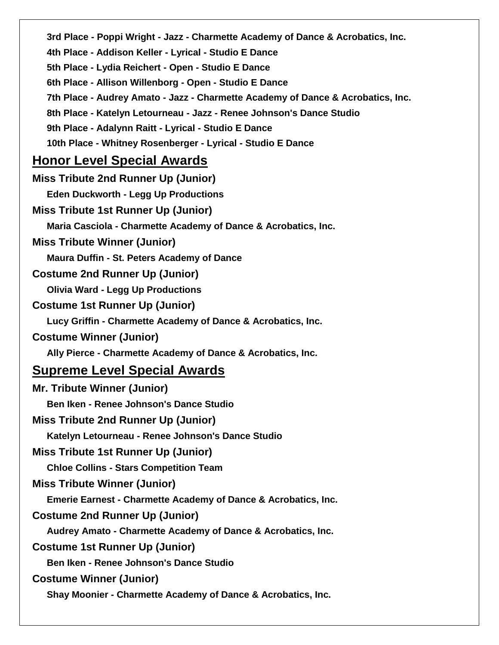| 3rd Place - Poppi Wright - Jazz - Charmette Academy of Dance & Acrobatics, Inc. |
|---------------------------------------------------------------------------------|
| 4th Place - Addison Keller - Lyrical - Studio E Dance                           |
| 5th Place - Lydia Reichert - Open - Studio E Dance                              |
| 6th Place - Allison Willenborg - Open - Studio E Dance                          |
| 7th Place - Audrey Amato - Jazz - Charmette Academy of Dance & Acrobatics, Inc. |
| 8th Place - Katelyn Letourneau - Jazz - Renee Johnson's Dance Studio            |
| 9th Place - Adalynn Raitt - Lyrical - Studio E Dance                            |
| 10th Place - Whitney Rosenberger - Lyrical - Studio E Dance                     |
| <u>Honor Level Special Awards</u>                                               |
| <b>Miss Tribute 2nd Runner Up (Junior)</b>                                      |
| <b>Eden Duckworth - Legg Up Productions</b>                                     |
| Miss Tribute 1st Runner Up (Junior)                                             |
| Maria Casciola - Charmette Academy of Dance & Acrobatics, Inc.                  |
| <b>Miss Tribute Winner (Junior)</b>                                             |
| <b>Maura Duffin - St. Peters Academy of Dance</b>                               |
| <b>Costume 2nd Runner Up (Junior)</b>                                           |
| <b>Olivia Ward - Legg Up Productions</b>                                        |
| <b>Costume 1st Runner Up (Junior)</b>                                           |
| Lucy Griffin - Charmette Academy of Dance & Acrobatics, Inc.                    |
| <b>Costume Winner (Junior)</b>                                                  |
| Ally Pierce - Charmette Academy of Dance & Acrobatics, Inc.                     |
| <u>Supreme Level Special Awards</u>                                             |
| <b>Mr. Tribute Winner (Junior)</b>                                              |
| <b>Ben Iken - Renee Johnson's Dance Studio</b>                                  |
| <b>Miss Tribute 2nd Runner Up (Junior)</b>                                      |
| Katelyn Letourneau - Renee Johnson's Dance Studio                               |
| <b>Miss Tribute 1st Runner Up (Junior)</b>                                      |
| <b>Chloe Collins - Stars Competition Team</b>                                   |
| <b>Miss Tribute Winner (Junior)</b>                                             |
| <b>Emerie Earnest - Charmette Academy of Dance &amp; Acrobatics, Inc.</b>       |
| <b>Costume 2nd Runner Up (Junior)</b>                                           |
| Audrey Amato - Charmette Academy of Dance & Acrobatics, Inc.                    |
| <b>Costume 1st Runner Up (Junior)</b>                                           |
| <b>Ben Iken - Renee Johnson's Dance Studio</b>                                  |
| <b>Costume Winner (Junior)</b>                                                  |
| Shay Moonier - Charmette Academy of Dance & Acrobatics, Inc.                    |
|                                                                                 |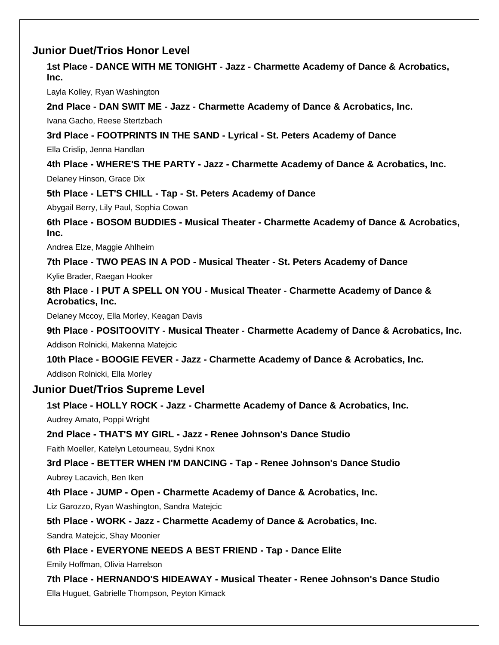# **Junior Duet/Trios Honor Level**

**1st Place - DANCE WITH ME TONIGHT - Jazz - Charmette Academy of Dance & Acrobatics, Inc.**

Layla Kolley, Ryan Washington

**2nd Place - DAN SWIT ME - Jazz - Charmette Academy of Dance & Acrobatics, Inc.**

Ivana Gacho, Reese Stertzbach

**3rd Place - FOOTPRINTS IN THE SAND - Lyrical - St. Peters Academy of Dance**

Ella Crislip, Jenna Handlan

**4th Place - WHERE'S THE PARTY - Jazz - Charmette Academy of Dance & Acrobatics, Inc.**

Delaney Hinson, Grace Dix

**5th Place - LET'S CHILL - Tap - St. Peters Academy of Dance**

Abygail Berry, Lily Paul, Sophia Cowan

**6th Place - BOSOM BUDDIES - Musical Theater - Charmette Academy of Dance & Acrobatics, Inc.**

Andrea Elze, Maggie Ahlheim

**7th Place - TWO PEAS IN A POD - Musical Theater - St. Peters Academy of Dance**

Kylie Brader, Raegan Hooker

**8th Place - I PUT A SPELL ON YOU - Musical Theater - Charmette Academy of Dance & Acrobatics, Inc.**

Delaney Mccoy, Ella Morley, Keagan Davis

**9th Place - POSITOOVITY - Musical Theater - Charmette Academy of Dance & Acrobatics, Inc.**

Addison Rolnicki, Makenna Matejcic

**10th Place - BOOGIE FEVER - Jazz - Charmette Academy of Dance & Acrobatics, Inc.**

Addison Rolnicki, Ella Morley

#### **Junior Duet/Trios Supreme Level**

**1st Place - HOLLY ROCK - Jazz - Charmette Academy of Dance & Acrobatics, Inc.**

Audrey Amato, Poppi Wright

**2nd Place - THAT'S MY GIRL - Jazz - Renee Johnson's Dance Studio**

Faith Moeller, Katelyn Letourneau, Sydni Knox

**3rd Place - BETTER WHEN I'M DANCING - Tap - Renee Johnson's Dance Studio** Aubrey Lacavich, Ben Iken

**4th Place - JUMP - Open - Charmette Academy of Dance & Acrobatics, Inc.**

Liz Garozzo, Ryan Washington, Sandra Matejcic

**5th Place - WORK - Jazz - Charmette Academy of Dance & Acrobatics, Inc.**

Sandra Matejcic, Shay Moonier

**6th Place - EVERYONE NEEDS A BEST FRIEND - Tap - Dance Elite**

Emily Hoffman, Olivia Harrelson

**7th Place - HERNANDO'S HIDEAWAY - Musical Theater - Renee Johnson's Dance Studio** Ella Huguet, Gabrielle Thompson, Peyton Kimack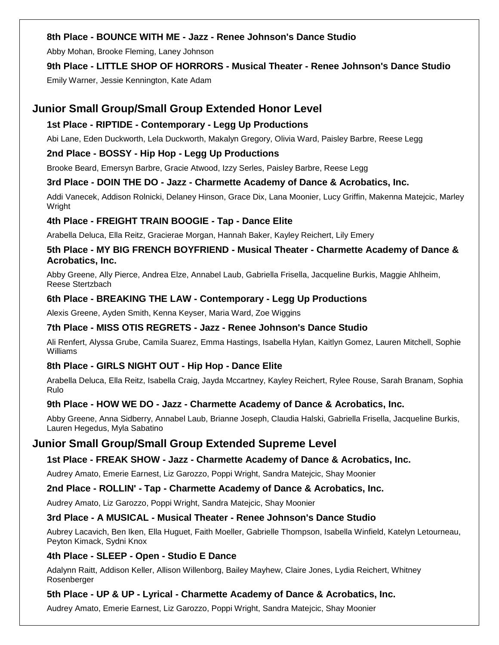### **8th Place - BOUNCE WITH ME - Jazz - Renee Johnson's Dance Studio**

Abby Mohan, Brooke Fleming, Laney Johnson

# **9th Place - LITTLE SHOP OF HORRORS - Musical Theater - Renee Johnson's Dance Studio**

Emily Warner, Jessie Kennington, Kate Adam

# **Junior Small Group/Small Group Extended Honor Level**

### **1st Place - RIPTIDE - Contemporary - Legg Up Productions**

Abi Lane, Eden Duckworth, Lela Duckworth, Makalyn Gregory, Olivia Ward, Paisley Barbre, Reese Legg

### **2nd Place - BOSSY - Hip Hop - Legg Up Productions**

Brooke Beard, Emersyn Barbre, Gracie Atwood, Izzy Serles, Paisley Barbre, Reese Legg

#### **3rd Place - DOIN THE DO - Jazz - Charmette Academy of Dance & Acrobatics, Inc.**

Addi Vanecek, Addison Rolnicki, Delaney Hinson, Grace Dix, Lana Moonier, Lucy Griffin, Makenna Matejcic, Marley Wright

#### **4th Place - FREIGHT TRAIN BOOGIE - Tap - Dance Elite**

Arabella Deluca, Ella Reitz, Gracierae Morgan, Hannah Baker, Kayley Reichert, Lily Emery

# **5th Place - MY BIG FRENCH BOYFRIEND - Musical Theater - Charmette Academy of Dance & Acrobatics, Inc.**

Abby Greene, Ally Pierce, Andrea Elze, Annabel Laub, Gabriella Frisella, Jacqueline Burkis, Maggie Ahlheim, Reese Stertzbach

#### **6th Place - BREAKING THE LAW - Contemporary - Legg Up Productions**

Alexis Greene, Ayden Smith, Kenna Keyser, Maria Ward, Zoe Wiggins

### **7th Place - MISS OTIS REGRETS - Jazz - Renee Johnson's Dance Studio**

Ali Renfert, Alyssa Grube, Camila Suarez, Emma Hastings, Isabella Hylan, Kaitlyn Gomez, Lauren Mitchell, Sophie Williams

# **8th Place - GIRLS NIGHT OUT - Hip Hop - Dance Elite**

Arabella Deluca, Ella Reitz, Isabella Craig, Jayda Mccartney, Kayley Reichert, Rylee Rouse, Sarah Branam, Sophia Rulo

#### **9th Place - HOW WE DO - Jazz - Charmette Academy of Dance & Acrobatics, Inc.**

Abby Greene, Anna Sidberry, Annabel Laub, Brianne Joseph, Claudia Halski, Gabriella Frisella, Jacqueline Burkis, Lauren Hegedus, Myla Sabatino

# **Junior Small Group/Small Group Extended Supreme Level**

# **1st Place - FREAK SHOW - Jazz - Charmette Academy of Dance & Acrobatics, Inc.**

Audrey Amato, Emerie Earnest, Liz Garozzo, Poppi Wright, Sandra Matejcic, Shay Moonier

#### **2nd Place - ROLLIN' - Tap - Charmette Academy of Dance & Acrobatics, Inc.**

Audrey Amato, Liz Garozzo, Poppi Wright, Sandra Matejcic, Shay Moonier

# **3rd Place - A MUSICAL - Musical Theater - Renee Johnson's Dance Studio**

Aubrey Lacavich, Ben Iken, Ella Huguet, Faith Moeller, Gabrielle Thompson, Isabella Winfield, Katelyn Letourneau, Peyton Kimack, Sydni Knox

# **4th Place - SLEEP - Open - Studio E Dance**

Adalynn Raitt, Addison Keller, Allison Willenborg, Bailey Mayhew, Claire Jones, Lydia Reichert, Whitney Rosenberger

# **5th Place - UP & UP - Lyrical - Charmette Academy of Dance & Acrobatics, Inc.**

Audrey Amato, Emerie Earnest, Liz Garozzo, Poppi Wright, Sandra Matejcic, Shay Moonier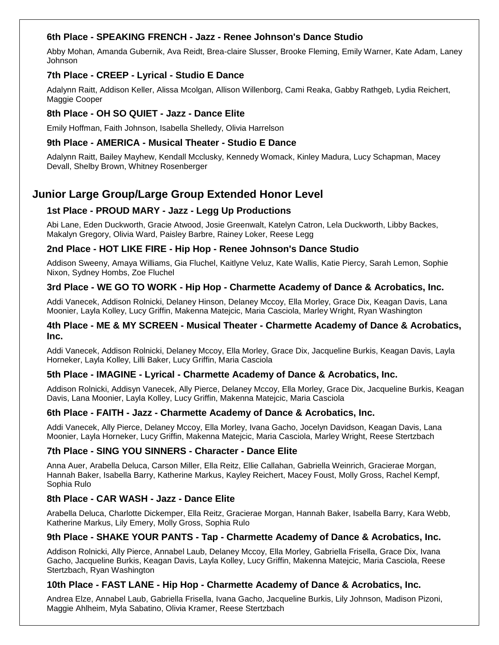#### **6th Place - SPEAKING FRENCH - Jazz - Renee Johnson's Dance Studio**

Abby Mohan, Amanda Gubernik, Ava Reidt, Brea-claire Slusser, Brooke Fleming, Emily Warner, Kate Adam, Laney Johnson

#### **7th Place - CREEP - Lyrical - Studio E Dance**

Adalynn Raitt, Addison Keller, Alissa Mcolgan, Allison Willenborg, Cami Reaka, Gabby Rathgeb, Lydia Reichert, Maggie Cooper

#### **8th Place - OH SO QUIET - Jazz - Dance Elite**

Emily Hoffman, Faith Johnson, Isabella Shelledy, Olivia Harrelson

#### **9th Place - AMERICA - Musical Theater - Studio E Dance**

Adalynn Raitt, Bailey Mayhew, Kendall Mcclusky, Kennedy Womack, Kinley Madura, Lucy Schapman, Macey Devall, Shelby Brown, Whitney Rosenberger

# **Junior Large Group/Large Group Extended Honor Level**

#### **1st Place - PROUD MARY - Jazz - Legg Up Productions**

Abi Lane, Eden Duckworth, Gracie Atwood, Josie Greenwalt, Katelyn Catron, Lela Duckworth, Libby Backes, Makalyn Gregory, Olivia Ward, Paisley Barbre, Rainey Loker, Reese Legg

#### **2nd Place - HOT LIKE FIRE - Hip Hop - Renee Johnson's Dance Studio**

Addison Sweeny, Amaya Williams, Gia Fluchel, Kaitlyne Veluz, Kate Wallis, Katie Piercy, Sarah Lemon, Sophie Nixon, Sydney Hombs, Zoe Fluchel

#### **3rd Place - WE GO TO WORK - Hip Hop - Charmette Academy of Dance & Acrobatics, Inc.**

Addi Vanecek, Addison Rolnicki, Delaney Hinson, Delaney Mccoy, Ella Morley, Grace Dix, Keagan Davis, Lana Moonier, Layla Kolley, Lucy Griffin, Makenna Matejcic, Maria Casciola, Marley Wright, Ryan Washington

#### **4th Place - ME & MY SCREEN - Musical Theater - Charmette Academy of Dance & Acrobatics, Inc.**

Addi Vanecek, Addison Rolnicki, Delaney Mccoy, Ella Morley, Grace Dix, Jacqueline Burkis, Keagan Davis, Layla Horneker, Layla Kolley, Lilli Baker, Lucy Griffin, Maria Casciola

#### **5th Place - IMAGINE - Lyrical - Charmette Academy of Dance & Acrobatics, Inc.**

Addison Rolnicki, Addisyn Vanecek, Ally Pierce, Delaney Mccoy, Ella Morley, Grace Dix, Jacqueline Burkis, Keagan Davis, Lana Moonier, Layla Kolley, Lucy Griffin, Makenna Matejcic, Maria Casciola

#### **6th Place - FAITH - Jazz - Charmette Academy of Dance & Acrobatics, Inc.**

Addi Vanecek, Ally Pierce, Delaney Mccoy, Ella Morley, Ivana Gacho, Jocelyn Davidson, Keagan Davis, Lana Moonier, Layla Horneker, Lucy Griffin, Makenna Matejcic, Maria Casciola, Marley Wright, Reese Stertzbach

#### **7th Place - SING YOU SINNERS - Character - Dance Elite**

Anna Auer, Arabella Deluca, Carson Miller, Ella Reitz, Ellie Callahan, Gabriella Weinrich, Gracierae Morgan, Hannah Baker, Isabella Barry, Katherine Markus, Kayley Reichert, Macey Foust, Molly Gross, Rachel Kempf, Sophia Rulo

#### **8th Place - CAR WASH - Jazz - Dance Elite**

Arabella Deluca, Charlotte Dickemper, Ella Reitz, Gracierae Morgan, Hannah Baker, Isabella Barry, Kara Webb, Katherine Markus, Lily Emery, Molly Gross, Sophia Rulo

#### **9th Place - SHAKE YOUR PANTS - Tap - Charmette Academy of Dance & Acrobatics, Inc.**

Addison Rolnicki, Ally Pierce, Annabel Laub, Delaney Mccoy, Ella Morley, Gabriella Frisella, Grace Dix, Ivana Gacho, Jacqueline Burkis, Keagan Davis, Layla Kolley, Lucy Griffin, Makenna Matejcic, Maria Casciola, Reese Stertzbach, Ryan Washington

#### **10th Place - FAST LANE - Hip Hop - Charmette Academy of Dance & Acrobatics, Inc.**

Andrea Elze, Annabel Laub, Gabriella Frisella, Ivana Gacho, Jacqueline Burkis, Lily Johnson, Madison Pizoni, Maggie Ahlheim, Myla Sabatino, Olivia Kramer, Reese Stertzbach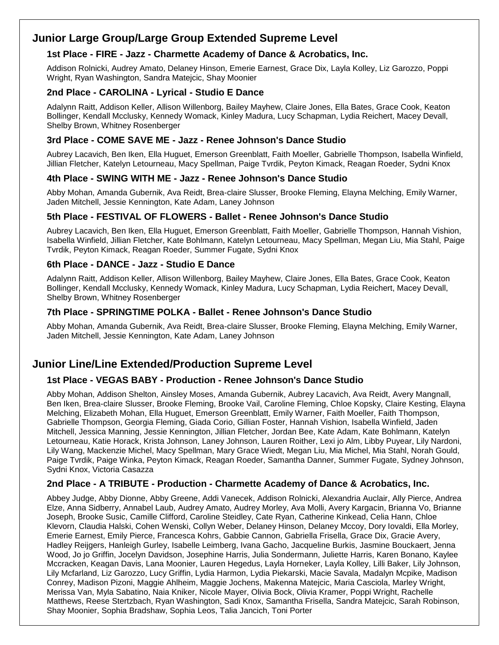# **Junior Large Group/Large Group Extended Supreme Level**

#### **1st Place - FIRE - Jazz - Charmette Academy of Dance & Acrobatics, Inc.**

Addison Rolnicki, Audrey Amato, Delaney Hinson, Emerie Earnest, Grace Dix, Layla Kolley, Liz Garozzo, Poppi Wright, Ryan Washington, Sandra Matejcic, Shay Moonier

#### **2nd Place - CAROLINA - Lyrical - Studio E Dance**

Adalynn Raitt, Addison Keller, Allison Willenborg, Bailey Mayhew, Claire Jones, Ella Bates, Grace Cook, Keaton Bollinger, Kendall Mcclusky, Kennedy Womack, Kinley Madura, Lucy Schapman, Lydia Reichert, Macey Devall, Shelby Brown, Whitney Rosenberger

#### **3rd Place - COME SAVE ME - Jazz - Renee Johnson's Dance Studio**

Aubrey Lacavich, Ben Iken, Ella Huguet, Emerson Greenblatt, Faith Moeller, Gabrielle Thompson, Isabella Winfield, Jillian Fletcher, Katelyn Letourneau, Macy Spellman, Paige Tvrdik, Peyton Kimack, Reagan Roeder, Sydni Knox

#### **4th Place - SWING WITH ME - Jazz - Renee Johnson's Dance Studio**

Abby Mohan, Amanda Gubernik, Ava Reidt, Brea-claire Slusser, Brooke Fleming, Elayna Melching, Emily Warner, Jaden Mitchell, Jessie Kennington, Kate Adam, Laney Johnson

#### **5th Place - FESTIVAL OF FLOWERS - Ballet - Renee Johnson's Dance Studio**

Aubrey Lacavich, Ben Iken, Ella Huguet, Emerson Greenblatt, Faith Moeller, Gabrielle Thompson, Hannah Vishion, Isabella Winfield, Jillian Fletcher, Kate Bohlmann, Katelyn Letourneau, Macy Spellman, Megan Liu, Mia Stahl, Paige Tvrdik, Peyton Kimack, Reagan Roeder, Summer Fugate, Sydni Knox

#### **6th Place - DANCE - Jazz - Studio E Dance**

Adalynn Raitt, Addison Keller, Allison Willenborg, Bailey Mayhew, Claire Jones, Ella Bates, Grace Cook, Keaton Bollinger, Kendall Mcclusky, Kennedy Womack, Kinley Madura, Lucy Schapman, Lydia Reichert, Macey Devall, Shelby Brown, Whitney Rosenberger

#### **7th Place - SPRINGTIME POLKA - Ballet - Renee Johnson's Dance Studio**

Abby Mohan, Amanda Gubernik, Ava Reidt, Brea-claire Slusser, Brooke Fleming, Elayna Melching, Emily Warner, Jaden Mitchell, Jessie Kennington, Kate Adam, Laney Johnson

# **Junior Line/Line Extended/Production Supreme Level**

# **1st Place - VEGAS BABY - Production - Renee Johnson's Dance Studio**

Abby Mohan, Addison Shelton, Ainsley Moses, Amanda Gubernik, Aubrey Lacavich, Ava Reidt, Avery Mangnall, Ben Iken, Brea-claire Slusser, Brooke Fleming, Brooke Vail, Caroline Fleming, Chloe Kopsky, Claire Kesting, Elayna Melching, Elizabeth Mohan, Ella Huguet, Emerson Greenblatt, Emily Warner, Faith Moeller, Faith Thompson, Gabrielle Thompson, Georgia Fleming, Giada Corio, Gillian Foster, Hannah Vishion, Isabella Winfield, Jaden Mitchell, Jessica Manning, Jessie Kennington, Jillian Fletcher, Jordan Bee, Kate Adam, Kate Bohlmann, Katelyn Letourneau, Katie Horack, Krista Johnson, Laney Johnson, Lauren Roither, Lexi jo Alm, Libby Puyear, Lily Nardoni, Lily Wang, Mackenzie Michel, Macy Spellman, Mary Grace Wiedt, Megan Liu, Mia Michel, Mia Stahl, Norah Gould, Paige Tvrdik, Paige Winka, Peyton Kimack, Reagan Roeder, Samantha Danner, Summer Fugate, Sydney Johnson, Sydni Knox, Victoria Casazza

#### **2nd Place - A TRIBUTE - Production - Charmette Academy of Dance & Acrobatics, Inc.**

Abbey Judge, Abby Dionne, Abby Greene, Addi Vanecek, Addison Rolnicki, Alexandria Auclair, Ally Pierce, Andrea Elze, Anna Sidberry, Annabel Laub, Audrey Amato, Audrey Morley, Ava Molli, Avery Kargacin, Brianna Vo, Brianne Joseph, Brooke Susic, Camille Clifford, Caroline Steidley, Cate Ryan, Catherine Kinkead, Celia Hann, Chloe Klevorn, Claudia Halski, Cohen Wenski, Collyn Weber, Delaney Hinson, Delaney Mccoy, Dory Iovaldi, Ella Morley, Emerie Earnest, Emily Pierce, Francesca Kohrs, Gabbie Cannon, Gabriella Frisella, Grace Dix, Gracie Avery, Hadley Reijgers, Hanleigh Gurley, Isabelle Leimberg, Ivana Gacho, Jacqueline Burkis, Jasmine Bouckaert, Jenna Wood, Jo jo Griffin, Jocelyn Davidson, Josephine Harris, Julia Sondermann, Juliette Harris, Karen Bonano, Kaylee Mccracken, Keagan Davis, Lana Moonier, Lauren Hegedus, Layla Horneker, Layla Kolley, Lilli Baker, Lily Johnson, Lily Mcfarland, Liz Garozzo, Lucy Griffin, Lydia Harmon, Lydia Piekarski, Macie Savala, Madalyn Mcpike, Madison Conrey, Madison Pizoni, Maggie Ahlheim, Maggie Jochens, Makenna Matejcic, Maria Casciola, Marley Wright, Merissa Van, Myla Sabatino, Naia Kniker, Nicole Mayer, Olivia Bock, Olivia Kramer, Poppi Wright, Rachelle Matthews, Reese Stertzbach, Ryan Washington, Sadi Knox, Samantha Frisella, Sandra Matejcic, Sarah Robinson, Shay Moonier, Sophia Bradshaw, Sophia Leos, Talia Jancich, Toni Porter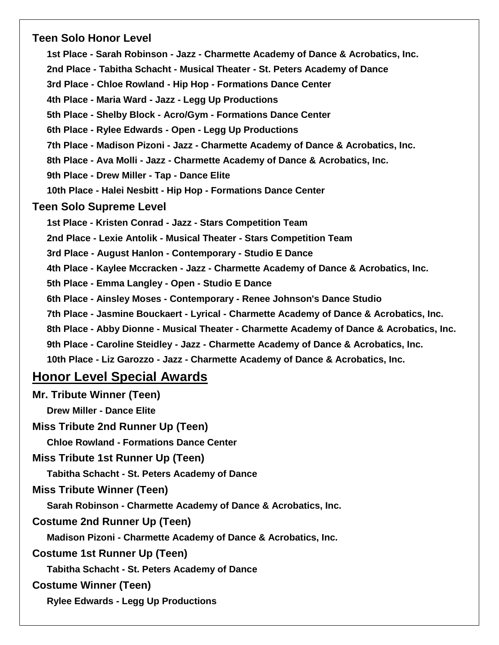# **Teen Solo Honor Level**

**1st Place - Sarah Robinson - Jazz - Charmette Academy of Dance & Acrobatics, Inc. 2nd Place - Tabitha Schacht - Musical Theater - St. Peters Academy of Dance 3rd Place - Chloe Rowland - Hip Hop - Formations Dance Center 4th Place - Maria Ward - Jazz - Legg Up Productions 5th Place - Shelby Block - Acro/Gym - Formations Dance Center 6th Place - Rylee Edwards - Open - Legg Up Productions 7th Place - Madison Pizoni - Jazz - Charmette Academy of Dance & Acrobatics, Inc. 8th Place - Ava Molli - Jazz - Charmette Academy of Dance & Acrobatics, Inc. 9th Place - Drew Miller - Tap - Dance Elite 10th Place - Halei Nesbitt - Hip Hop - Formations Dance Center Teen Solo Supreme Level 1st Place - Kristen Conrad - Jazz - Stars Competition Team 2nd Place - Lexie Antolik - Musical Theater - Stars Competition Team 3rd Place - August Hanlon - Contemporary - Studio E Dance 4th Place - Kaylee Mccracken - Jazz - Charmette Academy of Dance & Acrobatics, Inc. 5th Place - Emma Langley - Open - Studio E Dance 6th Place - Ainsley Moses - Contemporary - Renee Johnson's Dance Studio 7th Place - Jasmine Bouckaert - Lyrical - Charmette Academy of Dance & Acrobatics, Inc. 8th Place - Abby Dionne - Musical Theater - Charmette Academy of Dance & Acrobatics, Inc. 9th Place - Caroline Steidley - Jazz - Charmette Academy of Dance & Acrobatics, Inc. 10th Place - Liz Garozzo - Jazz - Charmette Academy of Dance & Acrobatics, Inc. Honor Level Special Awards Mr. Tribute Winner (Teen) Drew Miller - Dance Elite Miss Tribute 2nd Runner Up (Teen) Chloe Rowland - Formations Dance Center Miss Tribute 1st Runner Up (Teen) Tabitha Schacht - St. Peters Academy of Dance**

**Miss Tribute Winner (Teen)**

**Sarah Robinson - Charmette Academy of Dance & Acrobatics, Inc.**

**Costume 2nd Runner Up (Teen)**

**Madison Pizoni - Charmette Academy of Dance & Acrobatics, Inc.**

**Costume 1st Runner Up (Teen)**

**Tabitha Schacht - St. Peters Academy of Dance**

**Costume Winner (Teen)**

**Rylee Edwards - Legg Up Productions**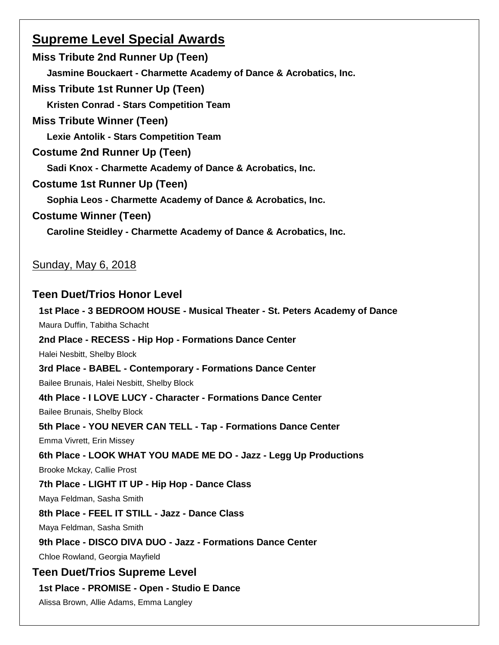# **Supreme Level Special Awards**

**Miss Tribute 2nd Runner Up (Teen) Jasmine Bouckaert - Charmette Academy of Dance & Acrobatics, Inc. Miss Tribute 1st Runner Up (Teen) Kristen Conrad - Stars Competition Team Miss Tribute Winner (Teen) Lexie Antolik - Stars Competition Team Costume 2nd Runner Up (Teen) Sadi Knox - Charmette Academy of Dance & Acrobatics, Inc. Costume 1st Runner Up (Teen) Sophia Leos - Charmette Academy of Dance & Acrobatics, Inc. Costume Winner (Teen) Caroline Steidley - Charmette Academy of Dance & Acrobatics, Inc.**

# Sunday, May 6, 2018

# **Teen Duet/Trios Honor Level**

**1st Place - 3 BEDROOM HOUSE - Musical Theater - St. Peters Academy of Dance** Maura Duffin, Tabitha Schacht **2nd Place - RECESS - Hip Hop - Formations Dance Center** Halei Nesbitt, Shelby Block **3rd Place - BABEL - Contemporary - Formations Dance Center** Bailee Brunais, Halei Nesbitt, Shelby Block **4th Place - I LOVE LUCY - Character - Formations Dance Center** Bailee Brunais, Shelby Block **5th Place - YOU NEVER CAN TELL - Tap - Formations Dance Center** Emma Vivrett, Erin Missey **6th Place - LOOK WHAT YOU MADE ME DO - Jazz - Legg Up Productions** Brooke Mckay, Callie Prost **7th Place - LIGHT IT UP - Hip Hop - Dance Class** Maya Feldman, Sasha Smith **8th Place - FEEL IT STILL - Jazz - Dance Class** Maya Feldman, Sasha Smith **9th Place - DISCO DIVA DUO - Jazz - Formations Dance Center** Chloe Rowland, Georgia Mayfield **Teen Duet/Trios Supreme Level 1st Place - PROMISE - Open - Studio E Dance**

Alissa Brown, Allie Adams, Emma Langley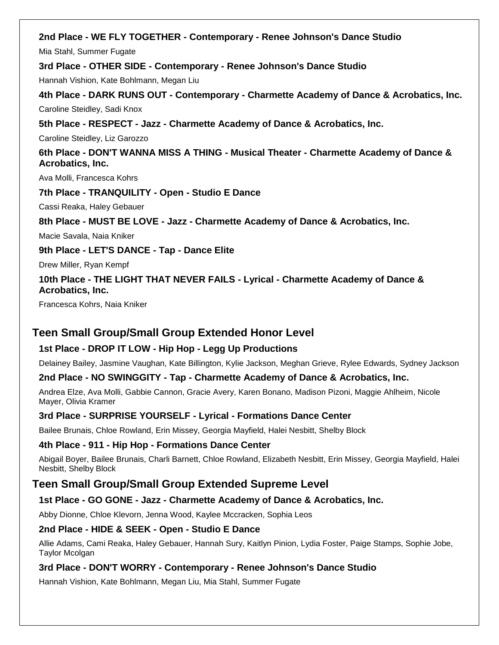# **2nd Place - WE FLY TOGETHER - Contemporary - Renee Johnson's Dance Studio**

Mia Stahl, Summer Fugate

**3rd Place - OTHER SIDE - Contemporary - Renee Johnson's Dance Studio**

Hannah Vishion, Kate Bohlmann, Megan Liu

**4th Place - DARK RUNS OUT - Contemporary - Charmette Academy of Dance & Acrobatics, Inc.** Caroline Steidley, Sadi Knox

**5th Place - RESPECT - Jazz - Charmette Academy of Dance & Acrobatics, Inc.**

Caroline Steidley, Liz Garozzo

**6th Place - DON'T WANNA MISS A THING - Musical Theater - Charmette Academy of Dance & Acrobatics, Inc.**

Ava Molli, Francesca Kohrs

**7th Place - TRANQUILITY - Open - Studio E Dance**

Cassi Reaka, Haley Gebauer

**8th Place - MUST BE LOVE - Jazz - Charmette Academy of Dance & Acrobatics, Inc.**

Macie Savala, Naia Kniker

**9th Place - LET'S DANCE - Tap - Dance Elite**

Drew Miller, Ryan Kempf

**10th Place - THE LIGHT THAT NEVER FAILS - Lyrical - Charmette Academy of Dance & Acrobatics, Inc.**

Francesca Kohrs, Naia Kniker

# **Teen Small Group/Small Group Extended Honor Level**

# **1st Place - DROP IT LOW - Hip Hop - Legg Up Productions**

Delainey Bailey, Jasmine Vaughan, Kate Billington, Kylie Jackson, Meghan Grieve, Rylee Edwards, Sydney Jackson

#### **2nd Place - NO SWINGGITY - Tap - Charmette Academy of Dance & Acrobatics, Inc.**

Andrea Elze, Ava Molli, Gabbie Cannon, Gracie Avery, Karen Bonano, Madison Pizoni, Maggie Ahlheim, Nicole Mayer, Olivia Kramer

# **3rd Place - SURPRISE YOURSELF - Lyrical - Formations Dance Center**

Bailee Brunais, Chloe Rowland, Erin Missey, Georgia Mayfield, Halei Nesbitt, Shelby Block

# **4th Place - 911 - Hip Hop - Formations Dance Center**

Abigail Boyer, Bailee Brunais, Charli Barnett, Chloe Rowland, Elizabeth Nesbitt, Erin Missey, Georgia Mayfield, Halei Nesbitt, Shelby Block

# **Teen Small Group/Small Group Extended Supreme Level**

# **1st Place - GO GONE - Jazz - Charmette Academy of Dance & Acrobatics, Inc.**

Abby Dionne, Chloe Klevorn, Jenna Wood, Kaylee Mccracken, Sophia Leos

# **2nd Place - HIDE & SEEK - Open - Studio E Dance**

Allie Adams, Cami Reaka, Haley Gebauer, Hannah Sury, Kaitlyn Pinion, Lydia Foster, Paige Stamps, Sophie Jobe, Taylor Mcolgan

# **3rd Place - DON'T WORRY - Contemporary - Renee Johnson's Dance Studio**

Hannah Vishion, Kate Bohlmann, Megan Liu, Mia Stahl, Summer Fugate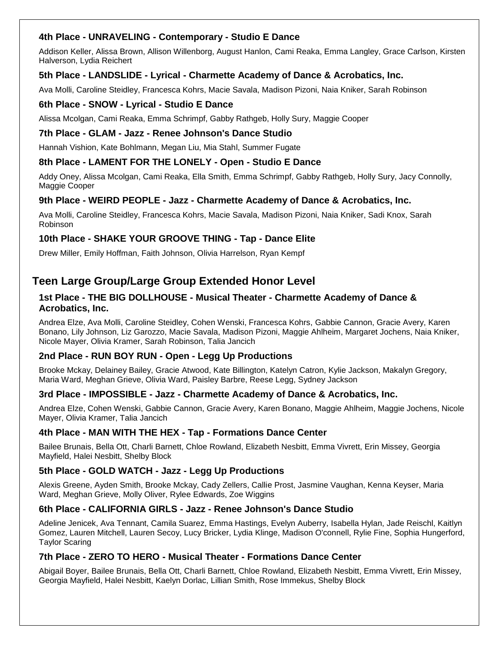### **4th Place - UNRAVELING - Contemporary - Studio E Dance**

Addison Keller, Alissa Brown, Allison Willenborg, August Hanlon, Cami Reaka, Emma Langley, Grace Carlson, Kirsten Halverson, Lydia Reichert

#### **5th Place - LANDSLIDE - Lyrical - Charmette Academy of Dance & Acrobatics, Inc.**

Ava Molli, Caroline Steidley, Francesca Kohrs, Macie Savala, Madison Pizoni, Naia Kniker, Sarah Robinson

#### **6th Place - SNOW - Lyrical - Studio E Dance**

Alissa Mcolgan, Cami Reaka, Emma Schrimpf, Gabby Rathgeb, Holly Sury, Maggie Cooper

#### **7th Place - GLAM - Jazz - Renee Johnson's Dance Studio**

Hannah Vishion, Kate Bohlmann, Megan Liu, Mia Stahl, Summer Fugate

#### **8th Place - LAMENT FOR THE LONELY - Open - Studio E Dance**

Addy Oney, Alissa Mcolgan, Cami Reaka, Ella Smith, Emma Schrimpf, Gabby Rathgeb, Holly Sury, Jacy Connolly, Maggie Cooper

#### **9th Place - WEIRD PEOPLE - Jazz - Charmette Academy of Dance & Acrobatics, Inc.**

Ava Molli, Caroline Steidley, Francesca Kohrs, Macie Savala, Madison Pizoni, Naia Kniker, Sadi Knox, Sarah Robinson

#### **10th Place - SHAKE YOUR GROOVE THING - Tap - Dance Elite**

Drew Miller, Emily Hoffman, Faith Johnson, Olivia Harrelson, Ryan Kempf

# **Teen Large Group/Large Group Extended Honor Level**

#### **1st Place - THE BIG DOLLHOUSE - Musical Theater - Charmette Academy of Dance & Acrobatics, Inc.**

Andrea Elze, Ava Molli, Caroline Steidley, Cohen Wenski, Francesca Kohrs, Gabbie Cannon, Gracie Avery, Karen Bonano, Lily Johnson, Liz Garozzo, Macie Savala, Madison Pizoni, Maggie Ahlheim, Margaret Jochens, Naia Kniker, Nicole Mayer, Olivia Kramer, Sarah Robinson, Talia Jancich

#### **2nd Place - RUN BOY RUN - Open - Legg Up Productions**

Brooke Mckay, Delainey Bailey, Gracie Atwood, Kate Billington, Katelyn Catron, Kylie Jackson, Makalyn Gregory, Maria Ward, Meghan Grieve, Olivia Ward, Paisley Barbre, Reese Legg, Sydney Jackson

#### **3rd Place - IMPOSSIBLE - Jazz - Charmette Academy of Dance & Acrobatics, Inc.**

Andrea Elze, Cohen Wenski, Gabbie Cannon, Gracie Avery, Karen Bonano, Maggie Ahlheim, Maggie Jochens, Nicole Mayer, Olivia Kramer, Talia Jancich

#### **4th Place - MAN WITH THE HEX - Tap - Formations Dance Center**

Bailee Brunais, Bella Ott, Charli Barnett, Chloe Rowland, Elizabeth Nesbitt, Emma Vivrett, Erin Missey, Georgia Mayfield, Halei Nesbitt, Shelby Block

#### **5th Place - GOLD WATCH - Jazz - Legg Up Productions**

Alexis Greene, Ayden Smith, Brooke Mckay, Cady Zellers, Callie Prost, Jasmine Vaughan, Kenna Keyser, Maria Ward, Meghan Grieve, Molly Oliver, Rylee Edwards, Zoe Wiggins

#### **6th Place - CALIFORNIA GIRLS - Jazz - Renee Johnson's Dance Studio**

Adeline Jenicek, Ava Tennant, Camila Suarez, Emma Hastings, Evelyn Auberry, Isabella Hylan, Jade Reischl, Kaitlyn Gomez, Lauren Mitchell, Lauren Secoy, Lucy Bricker, Lydia Klinge, Madison O'connell, Rylie Fine, Sophia Hungerford, Taylor Scaring

#### **7th Place - ZERO TO HERO - Musical Theater - Formations Dance Center**

Abigail Boyer, Bailee Brunais, Bella Ott, Charli Barnett, Chloe Rowland, Elizabeth Nesbitt, Emma Vivrett, Erin Missey, Georgia Mayfield, Halei Nesbitt, Kaelyn Dorlac, Lillian Smith, Rose Immekus, Shelby Block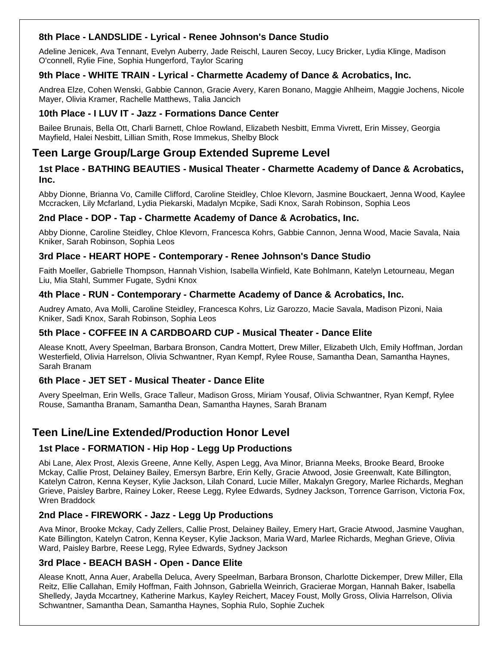# **8th Place - LANDSLIDE - Lyrical - Renee Johnson's Dance Studio**

Adeline Jenicek, Ava Tennant, Evelyn Auberry, Jade Reischl, Lauren Secoy, Lucy Bricker, Lydia Klinge, Madison O'connell, Rylie Fine, Sophia Hungerford, Taylor Scaring

#### **9th Place - WHITE TRAIN - Lyrical - Charmette Academy of Dance & Acrobatics, Inc.**

Andrea Elze, Cohen Wenski, Gabbie Cannon, Gracie Avery, Karen Bonano, Maggie Ahlheim, Maggie Jochens, Nicole Mayer, Olivia Kramer, Rachelle Matthews, Talia Jancich

#### **10th Place - I LUV IT - Jazz - Formations Dance Center**

Bailee Brunais, Bella Ott, Charli Barnett, Chloe Rowland, Elizabeth Nesbitt, Emma Vivrett, Erin Missey, Georgia Mayfield, Halei Nesbitt, Lillian Smith, Rose Immekus, Shelby Block

# **Teen Large Group/Large Group Extended Supreme Level**

#### **1st Place - BATHING BEAUTIES - Musical Theater - Charmette Academy of Dance & Acrobatics, Inc.**

Abby Dionne, Brianna Vo, Camille Clifford, Caroline Steidley, Chloe Klevorn, Jasmine Bouckaert, Jenna Wood, Kaylee Mccracken, Lily Mcfarland, Lydia Piekarski, Madalyn Mcpike, Sadi Knox, Sarah Robinson, Sophia Leos

# **2nd Place - DOP - Tap - Charmette Academy of Dance & Acrobatics, Inc.**

Abby Dionne, Caroline Steidley, Chloe Klevorn, Francesca Kohrs, Gabbie Cannon, Jenna Wood, Macie Savala, Naia Kniker, Sarah Robinson, Sophia Leos

#### **3rd Place - HEART HOPE - Contemporary - Renee Johnson's Dance Studio**

Faith Moeller, Gabrielle Thompson, Hannah Vishion, Isabella Winfield, Kate Bohlmann, Katelyn Letourneau, Megan Liu, Mia Stahl, Summer Fugate, Sydni Knox

#### **4th Place - RUN - Contemporary - Charmette Academy of Dance & Acrobatics, Inc.**

Audrey Amato, Ava Molli, Caroline Steidley, Francesca Kohrs, Liz Garozzo, Macie Savala, Madison Pizoni, Naia Kniker, Sadi Knox, Sarah Robinson, Sophia Leos

#### **5th Place - COFFEE IN A CARDBOARD CUP - Musical Theater - Dance Elite**

Alease Knott, Avery Speelman, Barbara Bronson, Candra Mottert, Drew Miller, Elizabeth Ulch, Emily Hoffman, Jordan Westerfield, Olivia Harrelson, Olivia Schwantner, Ryan Kempf, Rylee Rouse, Samantha Dean, Samantha Haynes, Sarah Branam

#### **6th Place - JET SET - Musical Theater - Dance Elite**

Avery Speelman, Erin Wells, Grace Talleur, Madison Gross, Miriam Yousaf, Olivia Schwantner, Ryan Kempf, Rylee Rouse, Samantha Branam, Samantha Dean, Samantha Haynes, Sarah Branam

# **Teen Line/Line Extended/Production Honor Level**

# **1st Place - FORMATION - Hip Hop - Legg Up Productions**

Abi Lane, Alex Prost, Alexis Greene, Anne Kelly, Aspen Legg, Ava Minor, Brianna Meeks, Brooke Beard, Brooke Mckay, Callie Prost, Delainey Bailey, Emersyn Barbre, Erin Kelly, Gracie Atwood, Josie Greenwalt, Kate Billington, Katelyn Catron, Kenna Keyser, Kylie Jackson, Lilah Conard, Lucie Miller, Makalyn Gregory, Marlee Richards, Meghan Grieve, Paisley Barbre, Rainey Loker, Reese Legg, Rylee Edwards, Sydney Jackson, Torrence Garrison, Victoria Fox, Wren Braddock

#### **2nd Place - FIREWORK - Jazz - Legg Up Productions**

Ava Minor, Brooke Mckay, Cady Zellers, Callie Prost, Delainey Bailey, Emery Hart, Gracie Atwood, Jasmine Vaughan, Kate Billington, Katelyn Catron, Kenna Keyser, Kylie Jackson, Maria Ward, Marlee Richards, Meghan Grieve, Olivia Ward, Paisley Barbre, Reese Legg, Rylee Edwards, Sydney Jackson

#### **3rd Place - BEACH BASH - Open - Dance Elite**

Alease Knott, Anna Auer, Arabella Deluca, Avery Speelman, Barbara Bronson, Charlotte Dickemper, Drew Miller, Ella Reitz, Ellie Callahan, Emily Hoffman, Faith Johnson, Gabriella Weinrich, Gracierae Morgan, Hannah Baker, Isabella Shelledy, Jayda Mccartney, Katherine Markus, Kayley Reichert, Macey Foust, Molly Gross, Olivia Harrelson, Olivia Schwantner, Samantha Dean, Samantha Haynes, Sophia Rulo, Sophie Zuchek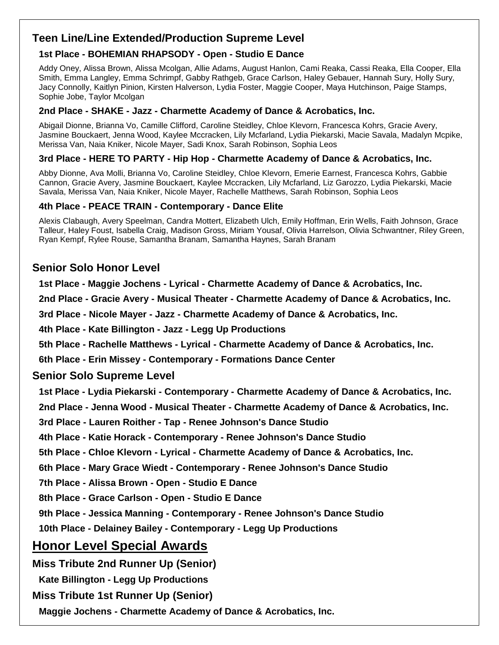# **Teen Line/Line Extended/Production Supreme Level**

# **1st Place - BOHEMIAN RHAPSODY - Open - Studio E Dance**

Addy Oney, Alissa Brown, Alissa Mcolgan, Allie Adams, August Hanlon, Cami Reaka, Cassi Reaka, Ella Cooper, Ella Smith, Emma Langley, Emma Schrimpf, Gabby Rathgeb, Grace Carlson, Haley Gebauer, Hannah Sury, Holly Sury, Jacy Connolly, Kaitlyn Pinion, Kirsten Halverson, Lydia Foster, Maggie Cooper, Maya Hutchinson, Paige Stamps, Sophie Jobe, Taylor Mcolgan

# **2nd Place - SHAKE - Jazz - Charmette Academy of Dance & Acrobatics, Inc.**

Abigail Dionne, Brianna Vo, Camille Clifford, Caroline Steidley, Chloe Klevorn, Francesca Kohrs, Gracie Avery, Jasmine Bouckaert, Jenna Wood, Kaylee Mccracken, Lily Mcfarland, Lydia Piekarski, Macie Savala, Madalyn Mcpike, Merissa Van, Naia Kniker, Nicole Mayer, Sadi Knox, Sarah Robinson, Sophia Leos

# **3rd Place - HERE TO PARTY - Hip Hop - Charmette Academy of Dance & Acrobatics, Inc.**

Abby Dionne, Ava Molli, Brianna Vo, Caroline Steidley, Chloe Klevorn, Emerie Earnest, Francesca Kohrs, Gabbie Cannon, Gracie Avery, Jasmine Bouckaert, Kaylee Mccracken, Lily Mcfarland, Liz Garozzo, Lydia Piekarski, Macie Savala, Merissa Van, Naia Kniker, Nicole Mayer, Rachelle Matthews, Sarah Robinson, Sophia Leos

# **4th Place - PEACE TRAIN - Contemporary - Dance Elite**

Alexis Clabaugh, Avery Speelman, Candra Mottert, Elizabeth Ulch, Emily Hoffman, Erin Wells, Faith Johnson, Grace Talleur, Haley Foust, Isabella Craig, Madison Gross, Miriam Yousaf, Olivia Harrelson, Olivia Schwantner, Riley Green, Ryan Kempf, Rylee Rouse, Samantha Branam, Samantha Haynes, Sarah Branam

# **Senior Solo Honor Level**

**1st Place - Maggie Jochens - Lyrical - Charmette Academy of Dance & Acrobatics, Inc.**

**2nd Place - Gracie Avery - Musical Theater - Charmette Academy of Dance & Acrobatics, Inc.**

**3rd Place - Nicole Mayer - Jazz - Charmette Academy of Dance & Acrobatics, Inc.**

**4th Place - Kate Billington - Jazz - Legg Up Productions**

**5th Place - Rachelle Matthews - Lyrical - Charmette Academy of Dance & Acrobatics, Inc.**

**6th Place - Erin Missey - Contemporary - Formations Dance Center**

# **Senior Solo Supreme Level**

**1st Place - Lydia Piekarski - Contemporary - Charmette Academy of Dance & Acrobatics, Inc.**

**2nd Place - Jenna Wood - Musical Theater - Charmette Academy of Dance & Acrobatics, Inc.**

**3rd Place - Lauren Roither - Tap - Renee Johnson's Dance Studio**

**4th Place - Katie Horack - Contemporary - Renee Johnson's Dance Studio**

**5th Place - Chloe Klevorn - Lyrical - Charmette Academy of Dance & Acrobatics, Inc.**

**6th Place - Mary Grace Wiedt - Contemporary - Renee Johnson's Dance Studio**

**7th Place - Alissa Brown - Open - Studio E Dance**

**8th Place - Grace Carlson - Open - Studio E Dance**

**9th Place - Jessica Manning - Contemporary - Renee Johnson's Dance Studio**

**10th Place - Delainey Bailey - Contemporary - Legg Up Productions**

# **Honor Level Special Awards**

**Miss Tribute 2nd Runner Up (Senior)**

**Kate Billington - Legg Up Productions**

# **Miss Tribute 1st Runner Up (Senior)**

**Maggie Jochens - Charmette Academy of Dance & Acrobatics, Inc.**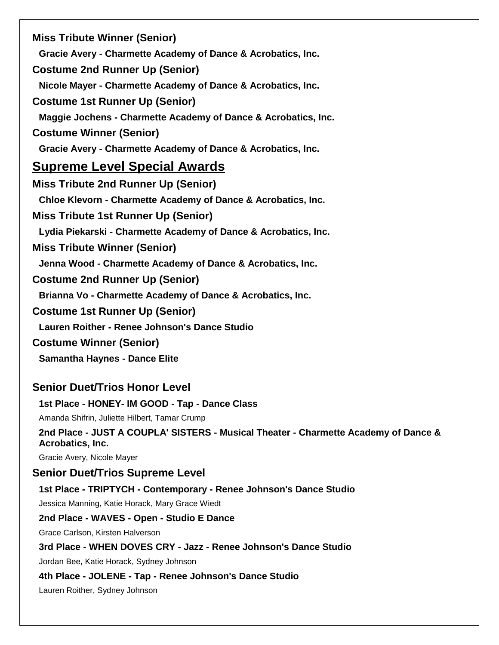**Miss Tribute Winner (Senior) Gracie Avery - Charmette Academy of Dance & Acrobatics, Inc. Costume 2nd Runner Up (Senior) Nicole Mayer - Charmette Academy of Dance & Acrobatics, Inc. Costume 1st Runner Up (Senior) Maggie Jochens - Charmette Academy of Dance & Acrobatics, Inc. Costume Winner (Senior) Gracie Avery - Charmette Academy of Dance & Acrobatics, Inc. Supreme Level Special Awards Miss Tribute 2nd Runner Up (Senior) Chloe Klevorn - Charmette Academy of Dance & Acrobatics, Inc. Miss Tribute 1st Runner Up (Senior) Lydia Piekarski - Charmette Academy of Dance & Acrobatics, Inc. Miss Tribute Winner (Senior) Jenna Wood - Charmette Academy of Dance & Acrobatics, Inc. Costume 2nd Runner Up (Senior) Brianna Vo - Charmette Academy of Dance & Acrobatics, Inc. Costume 1st Runner Up (Senior) Lauren Roither - Renee Johnson's Dance Studio Costume Winner (Senior) Samantha Haynes - Dance Elite Senior Duet/Trios Honor Level 1st Place - HONEY- IM GOOD - Tap - Dance Class** Amanda Shifrin, Juliette Hilbert, Tamar Crump **2nd Place - JUST A COUPLA' SISTERS - Musical Theater - Charmette Academy of Dance & Acrobatics, Inc.** Gracie Avery, Nicole Mayer **Senior Duet/Trios Supreme Level 1st Place - TRIPTYCH - Contemporary - Renee Johnson's Dance Studio** Jessica Manning, Katie Horack, Mary Grace Wiedt **2nd Place - WAVES - Open - Studio E Dance** Grace Carlson, Kirsten Halverson **3rd Place - WHEN DOVES CRY - Jazz - Renee Johnson's Dance Studio** Jordan Bee, Katie Horack, Sydney Johnson **4th Place - JOLENE - Tap - Renee Johnson's Dance Studio** Lauren Roither, Sydney Johnson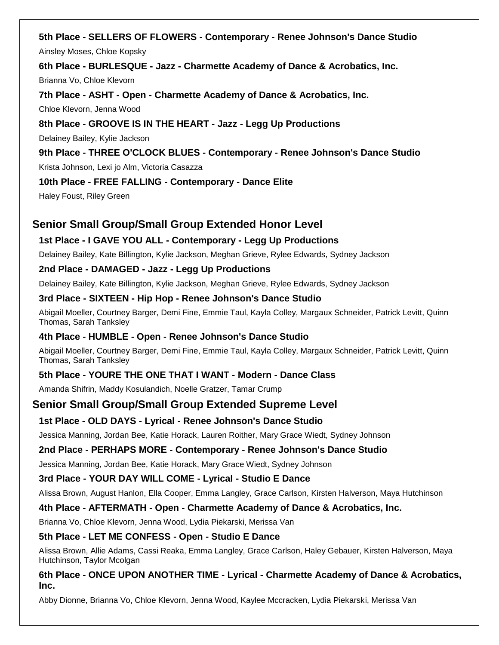**5th Place - SELLERS OF FLOWERS - Contemporary - Renee Johnson's Dance Studio** Ainsley Moses, Chloe Kopsky

**6th Place - BURLESQUE - Jazz - Charmette Academy of Dance & Acrobatics, Inc.**

Brianna Vo, Chloe Klevorn

**7th Place - ASHT - Open - Charmette Academy of Dance & Acrobatics, Inc.**

Chloe Klevorn, Jenna Wood

# **8th Place - GROOVE IS IN THE HEART - Jazz - Legg Up Productions**

Delainey Bailey, Kylie Jackson

# **9th Place - THREE O'CLOCK BLUES - Contemporary - Renee Johnson's Dance Studio** Krista Johnson, Lexi jo Alm, Victoria Casazza

# **10th Place - FREE FALLING - Contemporary - Dance Elite**

Haley Foust, Riley Green

# **Senior Small Group/Small Group Extended Honor Level**

# **1st Place - I GAVE YOU ALL - Contemporary - Legg Up Productions**

Delainey Bailey, Kate Billington, Kylie Jackson, Meghan Grieve, Rylee Edwards, Sydney Jackson

#### **2nd Place - DAMAGED - Jazz - Legg Up Productions**

Delainey Bailey, Kate Billington, Kylie Jackson, Meghan Grieve, Rylee Edwards, Sydney Jackson

#### **3rd Place - SIXTEEN - Hip Hop - Renee Johnson's Dance Studio**

Abigail Moeller, Courtney Barger, Demi Fine, Emmie Taul, Kayla Colley, Margaux Schneider, Patrick Levitt, Quinn Thomas, Sarah Tanksley

#### **4th Place - HUMBLE - Open - Renee Johnson's Dance Studio**

Abigail Moeller, Courtney Barger, Demi Fine, Emmie Taul, Kayla Colley, Margaux Schneider, Patrick Levitt, Quinn Thomas, Sarah Tanksley

# **5th Place - YOURE THE ONE THAT I WANT - Modern - Dance Class**

Amanda Shifrin, Maddy Kosulandich, Noelle Gratzer, Tamar Crump

# **Senior Small Group/Small Group Extended Supreme Level**

#### **1st Place - OLD DAYS - Lyrical - Renee Johnson's Dance Studio**

Jessica Manning, Jordan Bee, Katie Horack, Lauren Roither, Mary Grace Wiedt, Sydney Johnson

#### **2nd Place - PERHAPS MORE - Contemporary - Renee Johnson's Dance Studio**

Jessica Manning, Jordan Bee, Katie Horack, Mary Grace Wiedt, Sydney Johnson

# **3rd Place - YOUR DAY WILL COME - Lyrical - Studio E Dance**

Alissa Brown, August Hanlon, Ella Cooper, Emma Langley, Grace Carlson, Kirsten Halverson, Maya Hutchinson

# **4th Place - AFTERMATH - Open - Charmette Academy of Dance & Acrobatics, Inc.**

Brianna Vo, Chloe Klevorn, Jenna Wood, Lydia Piekarski, Merissa Van

#### **5th Place - LET ME CONFESS - Open - Studio E Dance**

Alissa Brown, Allie Adams, Cassi Reaka, Emma Langley, Grace Carlson, Haley Gebauer, Kirsten Halverson, Maya Hutchinson, Taylor Mcolgan

#### **6th Place - ONCE UPON ANOTHER TIME - Lyrical - Charmette Academy of Dance & Acrobatics, Inc.**

Abby Dionne, Brianna Vo, Chloe Klevorn, Jenna Wood, Kaylee Mccracken, Lydia Piekarski, Merissa Van